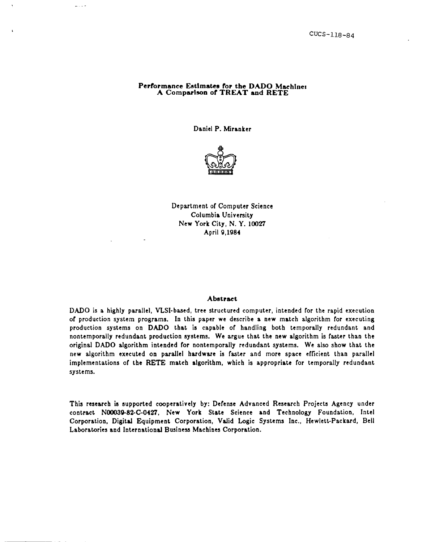# Performance Estimates for the DADO Machines A Comparison *ot* TREAT and RETE

 $\frac{1}{2}$  . . . . .

Daniel P. Miranker



Department of Computer Science Columbia University New York City, N. Y. 10027 April 9,1984

# Abstraet

DADO is a highly parallel, VLSI-based, tree structured computer, intended for the rapid execution o( production system programs. In this paper we describe a new match algorithm (or executing production systems on DADO that is capable of handling both temporally redundant and nontemporally redundant production systems. We argue that the new algorithm is (aster than the original DADO algorithm intended for nontemporally redundant systems. We also show that the new algorithm executed on parallel hardware is faster and more space efficient than parallel implementations of the RETE match algorithm, which is appropriate for temporally redundant systems.

This research is supported cooperatively by: Defense Advanced Research Projects Agency under contract. NOOO30-82-C-0427, New York State Science and Technology Foundation, Intel Corporation, Digital Equipment Corporation, Valid Logic Systems Inc., Hewlett-Packard, Bell Laboratories and International Business Machines Corporation.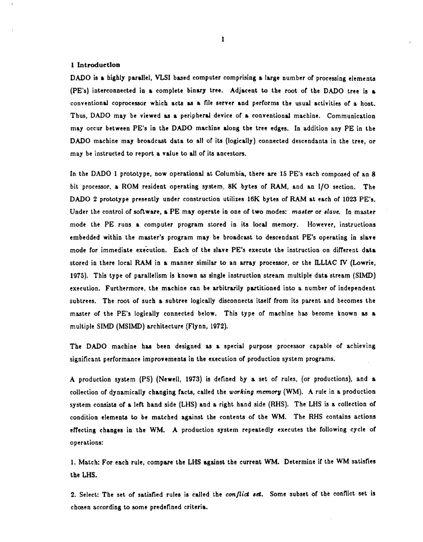### 1 Introduction

DADO is & highly parallel, VLSI based computer comprising a large number of processing elements (PE's) interconnected in a complete binary tree. Adjacent to the root of the DADO tree is & conventional coprocessor which acts as a file server and performs the usual activities of a host. Thus, DADO may be viewed as a peripheral device of a conventional machine. Communication may occur between PE's in the DADO machine along the tree edges. In addition any PE in the DADO machine may broadcast data to all of its (logically) connected descendants in the tree, or may be instructed to report a value to all of its ancestors.

In the DADO 1 prototype, now operational at Columbia, there are 15 PE's each composed of an 8 bit processor, a ROM resident operating system, 8K bytes of RAM, and an I/O section. The DADO 2 prototype presently under construction utilizes 16K bytes of RAM at each of 1023 PE's. Under the control of software, a PE may operate in one of two modes: master or slave. In master mode the PE runs a computer program stored in its local memory. However, instructions embedded within the master's program may be broadcast to descendant PE's operating in slave mode for immediate execution. Each of the slave PE's execute the instruction on different data stored in there local RAM in a manner similar to an array processor, or the ILLIAC IV (Lowrie, 1975). This type of parallelism is known as single instruction stream mUltiple data stream (SIMD) execution. Furthermore, the machine can be arbitrarily partitioned into a number of independent subtrees. The root of such a subtree logically disconnects itself from its parent and becomes the master of the PE's logically connected below. This type of machine has become known as a multiple SIMD (MSIMD) architecture (Flynn, 1972).

The DADO machine haa been designed aa a special purpose processor capable of achieving significant performance improvements in the execution of production system programs.

A production system (PS) (Newell, 1973) is defined by a set of rules, (or productions). and a collection of dynamically changing facts, called the working memory (WM). A rule in a production system consists of a left hand side (LHS) and a right hand side (RHS). The LHS is a collection of condition elements to be matched against the contents of the WM. The RHS contains actions effecting changes in the WM. A production system repeatedly executes the following cycle of operations:

1. Match: For each rule, compare the LHS against the current WM. Determine if the WM satisfies the LHS.

2. Select: The set of satisfied rules is called the *conflict set*. Some subset of the conflict set is chosen according to some predefined criteria.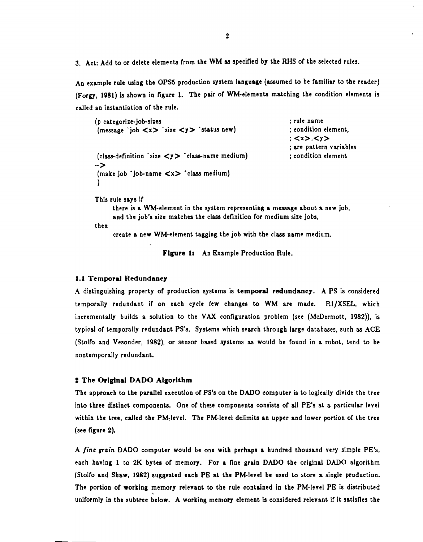3. Act: Add to or delete elements from the WM as specified by the RHS of the selected rules.

An example rule using the OPS5 production system language (assumed to be familiar to the reader) (Forgy, 1081) is shown in figure 1. The pair or WM-elements matching the condition elements is called an instantiation of the rule.

```
(p categorize-job-sizes 
(message 'job <x> 'size <y> 'status new) 
(class-definition 'size \langle y \rangle 'class-name medium)
\rightarrow(make job 'job-name <x> 'clasa medium) 
 )
```
; rule name ; condition element, ; <x>.<y> ; are pattern variables ; condition element

This rule says ir

there is a WM-element in the system representing a message about a new job, and the job's size matches the class definition for medium size jobs,

```
then
```
create a new WM-element tagging the job with the clasa name medium.

Figure 1: An Example Production Rule.

### 1.1 Temporal Redundancy

A distinguishing property of production systems is temporal redundancy. A PS is considered temporally redundant if on each cycle few changes to WM are made. R1/XSEL, which incrementally builds a solution to the VAX configuration problem (see (McDermott, 1982)), is typical of temporally redundant PS's. Systems which search through large databases, such as ACE (Stolfo and Vesonder, 1982), or sensor based systems as would be found in a robot, tend to be nontemporally redundant.

# 2 The Original DADO Algorithm

The approach to the parallel execution of PS's on the DADO computer is to logically divide the tree into three distinct components. One of these components consists of all PE's at a particular level within the tree, called the PM-level. The PM-level delimits an upper and lower portion of the tree (see figure 2).

A fine grain DADO computer would be one with perhaps a hundred thousand very simple PE's, each having 1 to 2K bytes of memory. For a fine grain DADO the original DADO algorithm (Stolro and Shaw, 1082) suggested each PE at the PM·level be used to store a single production. The portion of working memory relevant to the rule contained in the PM-level PE is distributed uniformly in the subtree below. A working memory element is considered relevant if it satisfies the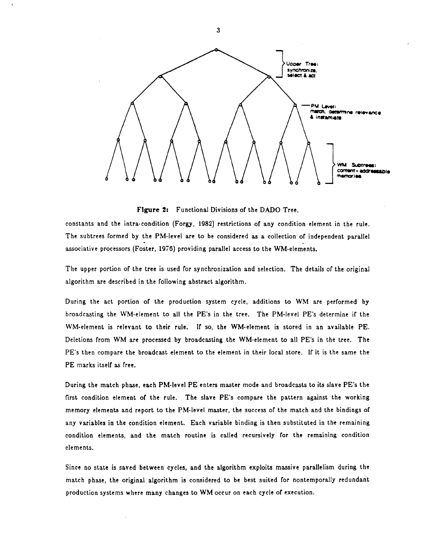

Figure 2: Functional Divisions of the DADO Tree.

constants and the intra-condition (Forgy, 1982) restrictions of any condition element in the rule. The subtrees formed by the PM-level are to be considered as a collection of independent parallel associative processors (Foster, 1976) providing parallel access to the WM-elements.

The upper portion of the tree is used for synchronization and selection. The details of the original algorithm are described in the following abstract algorithm.

During the act portion of the production system cycle, additions to WM are performed by broadcasting the WM-element to all the PE's in the tree. The PM-level PE's determine if the WM-element is relevant to their rule. If so, the WM-element is stored in an available PE. Deletions from WM are processed by broadcasting the WM-element to all PE's in the tree. The PE's then compare the broadcast element to the element in their local store. If it is the same the PE marks itself as free.

During the match phase, each PM-level PE enters master mode and broadcasts to its slave PE's the first condition element of the rule. The slave PE's compare the pattern against the working memory elements and report to the PM-level master, the success of the match and the bindings of any variables in the condition element. Each variable binding is then substituted in the remaining condition elements, and the match routine is called recursively for the remaining condition elements.

Since no state is saved between cycles, and the algorithm exploits massive parallelism during the match phase, the original algorithm is considered to be best suited for nontemporally redundant production systems where many changes to WM occur on each cycle of execution.

3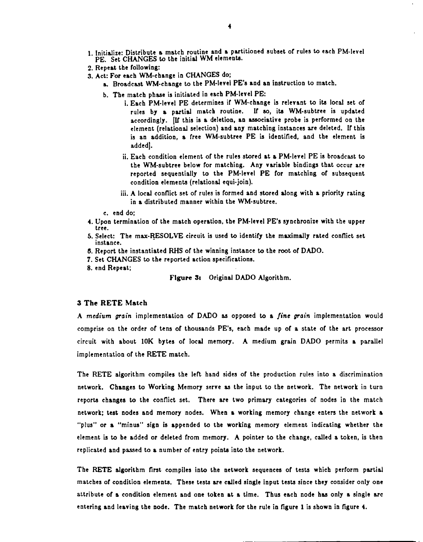- 1. Initialize: Distribute a match routine and a partitioned subset of rules to each PM-level PE. Set CHANGES to the initial WM elements.
- 2. Repeat the following:
- 3. Act.: For each WM-change in CHANGES do;
	- a. Broadcast WM-change to the PM-level PE's and an instruction to match.
	- b. The match phase is initiated in each PM-level PE:
		- i. Each PM-level PE determines ir WM-change is relevant to ita local set or rules by a partial match routine. If so, its WM-subtree is updated accordingly. [If this is a deletion, an associative probe is performed on the element (relational selection) and any matching instances are deleted. Ir this is an addition, a (ree WM-subtree PE is identified. and the element is addedJ.
		- ii. Each condition element of the rules stored at a PM-level PE is broadcast to the WM-subtree below (or matching. Any variable bindings that occur are reported sequentially to the PM-level PE for matching of subsequent condition elements (relational equi-join).
		- iii. A local conflict set of rules is formed and stored along with a priority rating in a distributed manner within the WM-subtree.
	- c. end do;
- 4. Upon termination of the match operation, the PM-level PE's synchronize with the upper tree.
- 5. Select: The max-RESOLVE circuit is used to identify the maximally rated conflict set instance.
- 6. Report the instantiated RHS or the winning instance to the root or DADO.
- 7. Set CHANGES to the reported action specifications.
- 8. end Repeat;

# Figure 3: Original DADO Algorithm.

### 3 The RETE Match

A medium grain implementation of DADO as opposed to a *fine grain* implementation would comprise on the order of tens of thousands PE's, each made up of a state of the art processor circuit with about 10K bytes or local memory. A medium grain DADO permits a parallel implementation or the RETE match.

The RETE algorithm compiles the left hand sides of the production rules into a discrimination network. Changes to Working Memory serve as the input to the network. The network in turn reports changes to the conflict set. There are two primary categories of nodes in the match network; test. nodes and memory nodes. When a working memory change enters the network a "plus" or a "minus" sign is appended to the working memory element indicating whether the element is to be added or deleted from memory. A pointer to the change, called a token, is then replicated and passed to a number of entry points into the network.

The RETE algorithm first compiles into the network sequences of tests which perform partial matches of condition elements. These tests are called single input tests since they consider only one attribute of a condition element and one token at a time. Thus each node has only a single arc entering and leaving the node. The match network for the rule in figure 1 is shown in figure 4.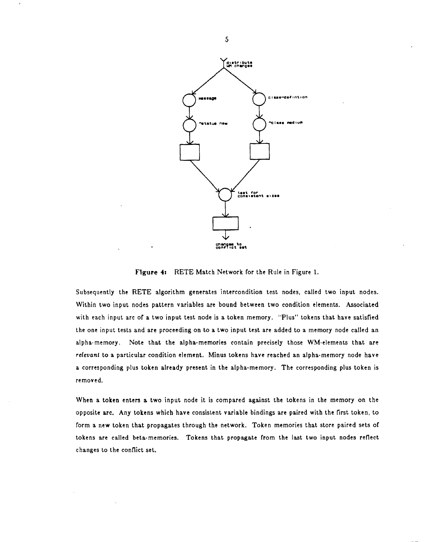

FIgure 41 RETE Match Network for the Rule in Figure 1.

Subsequently the RETE algorithm generates intercondition test nodes, called two input nodes. Within two input nodes pattern variables are bound between two condition elements. Associated with each input arc of a two input test node is a token memory. "Plus" tokens that have satisfied the one input tests and are proceeding on to a two input test are added to a memory node called an alpha-memory. Note that the alpha-memories contain precisely those WM-elements that are *relevant* to a particular condition element. Minus tokens have reached an alpha-memory node have a corresponding plus token already present in the alpha-memory. The corresponding plus token is removed.

When a token enters a two input node it is compared against the tokens in the memory on the opposite arc. Any tokens which have consistent variable bindings are paired with the first token, to form a new token that propagates through the network. Token memories that store paired sets of tokens are called beta-memories. Tokens that propagate from the last two input nodes reflect changes to the conflict set.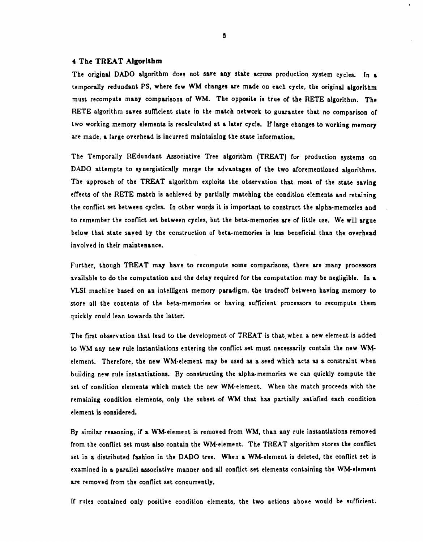### of The TREAT Algorithm

The original DADO algorithm does not save any state across production system cycles. In a temporaJly redundant PS, where few WM cbanges are made on each cycle, the original algorithm must recompute many comparisons of WM. The opposite is true of the RETE algorithm. The RETE algorithm saves sufficient state in the match network to guarantee that no comparison of two working memory elements is recalculated at a later cycle. If large changes to working memory are made, a large overhead is incurred maintaining the state information.

The Temporally REdundant Associative Tree algorithm (TREAT) for production systems on DADO attempts to synergistically merge the advantages of the two aforementioned algorithms. The approach of the TREAT algorithm exploits the observation that most of the state saving effects of the RETE match is achieved by partially matching the condition elements and retaining the conflict set between cycles. In other words it is important to construct the alpha-memories and to remember the conflict set between cycles, but the beta-memories are or little use. We will argue below that state saved by the construction of beta-memories is less beneficial than the overhead involved in their mainteaance.

Further, though TREAT may have to recompute some comparisons, there are many processors available to do the computation and the delay required for the computation may be negligible. In 8. VLSI machine based on an intelligent memory paradigm, the tradeoff between having memory to store all the contents of the beta-memories or having sufficient processors to recompute them quickly could lean towards the latter.

The first observation that lead to the development of TREAT is that. when a new element is added to WM any new rule instantiations entering the conflict set must necessarily contain the new WMelement. Therefore, the new WM-element may be used as a seed which acts as a constraint when building new rule instantiations. By constructing the alpha-memories we can quickly compute the set of condition elements which match the new WM-element. When the match proceeds with the remaining condition elements, only the subset of WM that has partially satisfied each condition element is considered.

By similar reasoning, if a WM-element is removed from WM, than any rule instantiations removed from the conflict set must also contain the WM-element. The TREAT algorithm stores the conflict set in a distributed fashion in the DADO tree. When a WM-element is deleted, the conflict set is examined in a parallel associative manner and all conflict set elements containing the WM-element. are removed from the conflict set concurrently.

If rules contained only positive condition elements, the two actions above would be sufficient.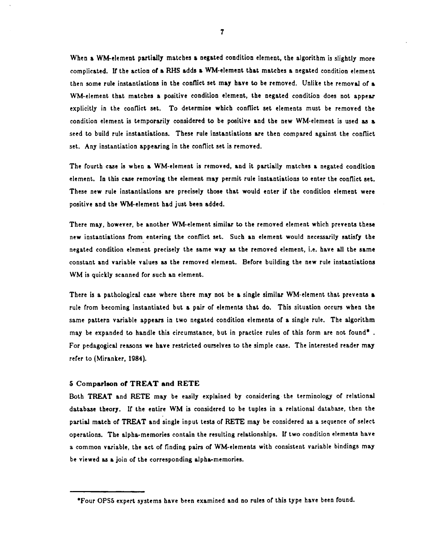When a WM-element partially matches a negated condition element, the algorithm is slightly more complicated. If the action of a RHS adds a WM-element that matches a negated condition element then some rule instantiations in the conflict set may have to be removed. Unlike the removal of a WM-element that matches a positive condition element, the negated condition does not appear explicitly in the conflict set. To determine which conflict set elements must be removed the condition element is temporarily considered to be positive and the new WM-element is used as a seed to build rule instantiations. These rule instantiations are then compared against the conflict set. Any instantiation appearing in the conflict set is removed.

The fourth case is when a WM-element is removed, and it partially matches a negated condition element. In this case removing the element may permit rule instantiations to enter the conflict set. These new rule instantiations are precisely those that would enter if the condition element were positive and the WM-element had just been added.

There may. however, be another WM-element similar to the removed element which prevents these new instantiations from entering the conflict set. Such an element would necessarily satisfy the negated condition element precisely the same way as the removed element, i.e. have all the same constant and variable values as the removed element. Before building the new rule instantiations WM is quickly scanned for such an element.

There is a pathological case where there may not be a single similar WM-element that prevents & rule from becoming instantiated but a pair of elements that do. This situation occurs when the same pattern variable appears in two negated condition elements of a single rule. The algorithm may be expanded to handle this circumstance, but in practice rules of this form are not found\* . For pedagogical reasons we have restricted ourselves to the simple case. The interested reader may refer to (Miranker, 1984).

#### 5 Comparlson of TREAT and RETE

Both TREAT and RETE may be easily explained by considering the terminology of relational database theory. It the entire WM is considered to be tuples in a relational database, then the partial match of TREAT and single input tests of RETE may be considered as a sequence of select operations. The alpha-memories contain the resulting relationships. It two condition elements have a common variable, the act of finding pairs of WM-elements with consistent variable bindings may be viewed as a join of the corresponding alpha-memories.

<sup>-</sup>Four OPS5 expert systems have been examined and no rules of this type have been found.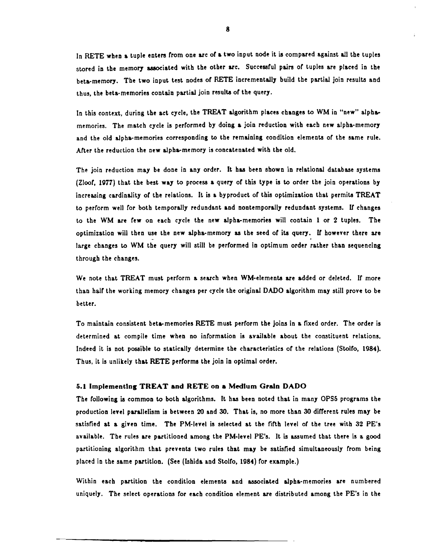In RETE when a tuple enters from one arc of a two input node it is compared against all the tuples stored in the memory associated with the other arc. Successful pairs of tuples are placed in the beta-memory. The two input test nodes of RETE incrementally build the partial join results and thus, the beta-memories contain partial join results of the query.

In this context, during the act cycle, the TREAT algorithm places changes to WM in "new" alphamemories. The match cycle is performed by doing a join reduction with each new alpha-memory and the old alpha-memories corresponding to the remaining condition elements of the same rule. After the reduction the new alpha-memory is concatenated with the old.

The join reduction may be done in any order. It haa been shown in relational database systems (Zloof, 1977) that the best way to procesa 8. query of this type is to order the join operations by increasing cardinality of the relations. It is 8. byproduct of this optimization that permita TREAT to perform well for both temporally redundant and nontemporally redundant systems. If changes to the WM are few on each cycle the new alpha-memories will contain 1 or 2 tuples. The optimization will then use the new alpha-memory as the seed of its query. If however there are large changes to WM the query will still be performed in optimum order rather than sequencing through the changes.

We note that TREAT must perform a search when WM-elements are added or deleted. If more than half the working memory changes per cycle the original DADO algorithm may still prove to be better.

To maintain consistent beta-memories RETE must perform the joins in a fixed order. The order is determined at compile time when no information is available about. the constituent relations. Indeed it is not posaible to statically determine the characteristics of the relations (Stolfo, 1984). Thus, it is unlikely that RETE performs the join in optimal order.

## 5.1 Implementing TREAT and RETE on a Medium Grain DADO

The following is common to both algorithms. It has been noted that in many OPS5 programs the production level parallelism is between 20 and 30. That is, no more than 30 different rules may be satisfied at a given time. The PM-level is selected at the fifth level of the tree with 32 PE's available. The rules are partitioned among the PM-level PE's. It is assumed that there is a good partitioning algorithm that prevents two rules that may be satisfied simultaneously from being placed in the same partition. (See (Ishida and Stolfo, 1984) for example.)

Within each partition the condition elements and associated alpha-memories are numbered uniquely. The select operations for each condition element are distributed among the PE's in the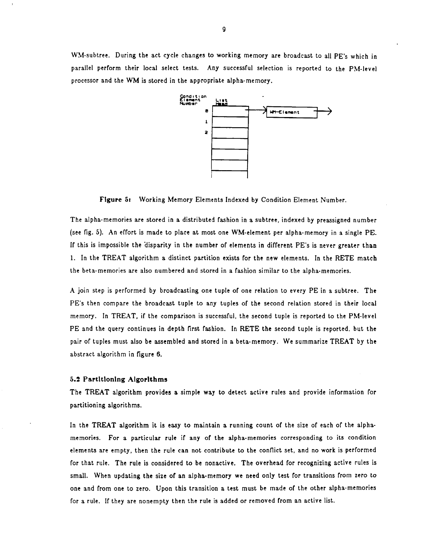WM-subtree. During the act cycle changes to working memory are broadcast to all PE's which in parallel perform their local select tests. Any successful selection is reported to the PM-level processor and the WM is stored in the appropriate alpha-memory.



Figure 5r Working Memory Elements Indexed by Condition Element Number.

The alpha-memories are stored in a distributed fashion in a subtree, indexed by preassigned number (see fig. 5). An effort is made to place at most one WM-element per alpha-memory in a single PE. If this is impossible the disparity in the number of elements in different PE's is never greater than 1. In the TREAT algorithm a distinct partition exists for the new elements. In the RETE match the beta-memories are also numbered and stored in a fashion similar to the alpha-memories.

A join step is performed by broadcasting one tuple of one relation to every PE in a subtree. The PE's then compare the broadcast tuple to any tuples of the second relation stored in their local memory. In TREAT, if the comparison is successful, the second tuple is reported to the PM-level PE and the query continues in depth first fashion. In RETE the second tuple is reported, but the pair of tuples must also be assembled and stored in a beta-memory. We summarize TREAT by the abstract algorithm in figure 6.

### 5.2 Partltlonlng Algorithms

The TREAT algorithm provides a simple way to detect active rules and provide information for partitioning algorithms.

In the TREAT algorithm it is easy to maintain a running count of the size of each of the alphamemories. For a particular rule if any of the alpha-memories corresponding to its condition elements are empty, then the rule can not contribute to the conflict set, and no work is performed for that rule. The rule is considered to be nonactive. The overhead for recognizing active rules is small. When updating the size of an alpha-memory we need only test for transitions from zero to one and from one to zero. Upon this transition a test must be made of the other alpha-memories for a rule. If they are nonempty then the rule is added or removed from an active list.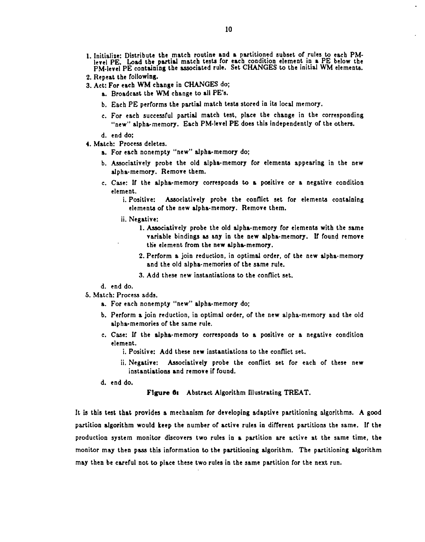- 1 Initialize' Distribute the match routine and a partitioned subset *ot* rules to each PM level PE. Load the partial match tests for each condition element in a PE below the PM-level PE containing the associated rule. Set CHANGES to the initial WM elements.
- 2. Repeat the (ollowing.
- 3. Act: For each WM change in CHANGES do;
	- a. Broadcast the WM change to all PE's.
	- b. Each PE pertorms the partial match tests stored in its local memory.
	- c. For each successful partial match test, place the change in the corresponding "new" alpha.-memory. Each PM-level PE does this independently *ot* the others.

d. end do;

- 4. Match: Process deletes.
	- a. For each nonempty "new" alpha-memory do;
	- b. Associatively probe the old alpha-memory tor elements appearing in the new alpha-memory. Remove them.
	- c. Case: lr the alpha-memory corresponds to a positive or a negative condition element.
		- i. Positive: Associatively probe the conflict set for elements containing elements *ot* the new alpha-memory. Remove them.
		- ii. Negative:
			- 1. Associatively probe the old alpha-memory tor elements with the same variable bindings as any in the new alpha-memory. If found remove the element from the new alpha-memory.
			- 2. Pertorm a join reduction, in optimal order, or the new alpha-memory and the old alpha-memories of the same rule.
			- 3. Add these new instantiations to the conflict set.
	- d. end do.
- 5. Match: Process adds.
	- a. For each nonempty "new" alpha-memory do;
	- b. Perform a join reduction, in optimal order, or the new alpha-memory and the old alpha-memories *ot* the same rule.
	- c. Case: It the alpha-memory corresponds to a positive or a negative condition element.
		- i. Positive: Add these new instantiations to the conflict set.
		- ii. Negative: Associatively probe the connict set tor each *ot* these new instantiations and remove if found.
	- d. end do.

Figure 6: Abstract Algorithm Illustrating TREAT.

It is this test that provides a mechanism tor developing adaptive partitioning algorithms. A good partition algorithm would keep the number of active rules in different partitions the same. If the production system monitor discovers two rules in a partition are active at the same time, the monitor may then pass this information to the partitioning algorithm. The partitioning algorithm may then be caretul not to place these two rules in the same partition tor the next run.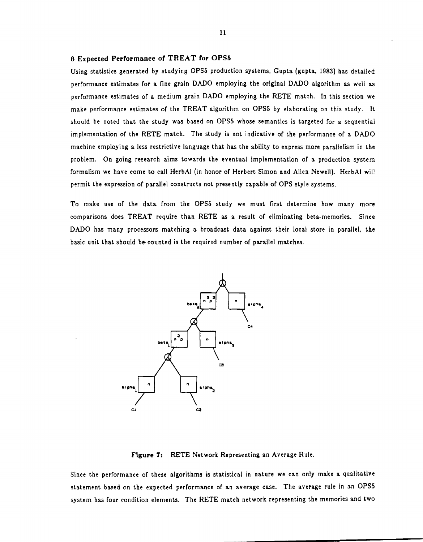### 6 Expected Performance of TREAT for OPS5

Using statistics generated by studying OPS5 production systems, Gupta (gupta, 1983) has detailed performance estimates for a fine grain DADO employing the original DADO algorithm as well as performance estimates of a medium grain DADO employing the RETE match. In this section we make performance estimates of the TREAT algorithm on OPSS by elaborating on this study. It should be noted that the study was based on OPSS whose semantics is targeted for a sequential implementation of the RETE match. The study is not indicative of the performance of a DADO machine employing a less restrictive language that has the ability to express more parallelism in the problem. On going research aims towards the eventual implementation of a production system formalism we have come to call HerbAl (in honor of Herbert Simon and Allen Newell). HerbAl will permit the expression of parallel constructs not presently capable of OPS style systems.

To make use of the data from the OPS5 study we must first determine how many more comparisons does TREAT require than RETE as a result of eliminating beta-memories. Since DADO has many processors matching a broadcast data against their local store in parallel, the basic unit that should be- counted is the required number of parallel matches.



FIgure 7: RETE Network Representing an Average Rule.

Since the performance of these algorithms is statistical in nature we can only make a qualitative statement based on the expected performance of an average case. The average rule in an OPSS system has four condition elements. The RETE match network representing the memories and two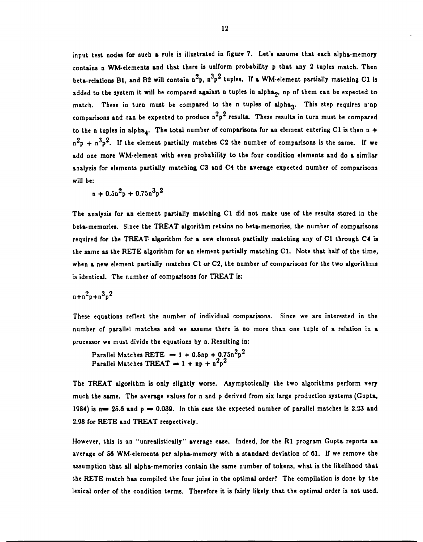input test nodes for such a rule is illustrated in figure 7. Let's assume that each alpha-memory contains n WM-elements and that there is uniform probability p that any 2 tuples match. Then beta-relations B1, and B2 will contain  $n^2p$ ,  $n^3p^2$  tuples. If a WM-element partially matching C1 is added to the system it will be compared against n tuples in alpha<sub>2</sub>, np of them can be expected to match. These in turn must be compared to the n tuples of alpha<sub>3</sub>. This step requires n'np comparisons and can be expected to produce  $n^2p^2$  results. These results in turn must be compared to the n tuples in alpha<sub>4</sub>. The total number of comparisons for an element entering C1 is then n +  $n^2p + n^3p^2$ . If the element partially matches C2 the number of comparisons is the same. If we add one more WM-element with even probability to the four condition elementa and do a similar analysis for elements partially matching C3 and C4 the average expected number of comparisons will be:

 $n + 0.5n^2p + 0.75n^3p^2$ 

The analysis for an element partially matching CI did not make use of the results stored in the beta-memories. Since the TREAT algorithm retains no beta-memories, the number of comparisons required for the TREAT- algorithm for a new element partially matching any of C1 through C4 is the same as the RETE algorithm for an element partially matching  $C1$ . Note that half of the time, when a new element partially matches C1 or C2, the number of comparisons for the two algorithms is identical. The number of comparisons for TREAT is:

 $n + n^2p + n^3p^2$ 

These equations reflect the number of individual comparisons. Since we are interested in the number of parallel matches and we assume there is no more than one tuple of a relation in a processor we must divide the equations by n. Resulting in:

Parallel Matches RETE  $= 1 + 0.5$ np +  $0.75n^2p^2$ Parallel Matches TREAT  $= 1 + np + n^2p^2$ 

The TREAT algorithm is only slightly worse. Asymptotically the two algorithms perform very much the same. The average values for n and p derived from six large production systems (Gupta, 1984) is n= 25.6 and  $p = 0.039$ . In this case the expected number of parallel matches is 2.23 and 2.98 for RETE and TREAT respectively.

However, this is an "unrealistically" average case. Indeed, for the R1 program Gupta reports an average of S6 WM-elements per alpha-memory with a standard deviation of 61. Ir we remove the assumption that all alpha-memories contain the same number of tokens, what is the likelihood that the RETE match has compiled the four joins in the optimal order? The compilation is done by the lexical order of the condition terms. Therefore it is fairly likely that the optimal order is not used.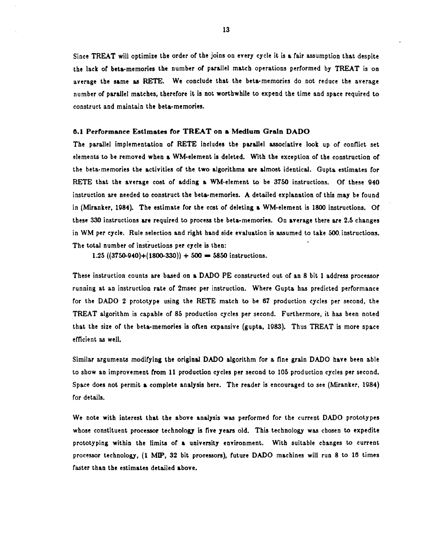Since TREAT will optimize the order of the joins on every cycle it is a fair assumption that despite the lack of beta-memories the number of parallel match operations performed by TREAT is on average the same aa RETE. We conclude that the beta-memories do not reduce the average number of parallel matches, therefore it is not worthwhile to expend the time and space required to construct and maintain the beta-memories.

# 0.1 Pertormanee Estimates *tor* TREAT on • Medium Gratn DADO

The parallel implementation of RETE includes the parallel associative look up of conflict set elements to be removed when a WM-element is deleted. With the exception of the construction of the beta-memories the &ctivities of the two algorithms are almost identical. Gupta estimates for RETE that the average cost of adding a WM-element to be 3750 instructions. Of these 940 instruction are needed to construct the beta-memories. A detailed explanation of this may be found in (Miranker, 1984). The estimate for the cost of deleting a WM-element is 1800 instructions. or these 330 instructions are required to process the beta-memories. On average there are 2.5 changes in WM per cycle. Rule selection and right hand side evaluation is assumed to take 500. instructions. The total number of instructions per cycle is then:

1.25  $((3750-940)+(1800-330)) + 500 = 5850$  instructions.

These instruction counts are based on a DADO PE constructed out of an 8 bit 1 address processor running at an instruction rate of 2msec per instruction. Where Gupta has predicted performance for the DADO 2 prototype using the RETE match to be  $67$  production cycles per second, the TREAT algorithm is capable of 85 production cycles per second. Furthermore, it has been noted that the size of the beta-memories is often expansive (gupta, 1983). Thus TREAT is more space efficient ag well.

Similar arguments modifying the original DADO algorithm for a fine grain DADO have been able to show an improvement from 11 production cycles per second to 105 production cycles per second. Space does not permit a complete analysis here. The reader is encouraged to see (Miranker. 1984) for details.

We note with interest that the above analysis was performed for the current DADO prototypes whose constituent processor technology is five years old. This technology was chosen to expedite prototyping within the limits of a university environment. With suitable changes to current processor technology, (1 MIP, 32 bit processors), future DADO machines will run 8 to 16 times faster than the estimates detailed above.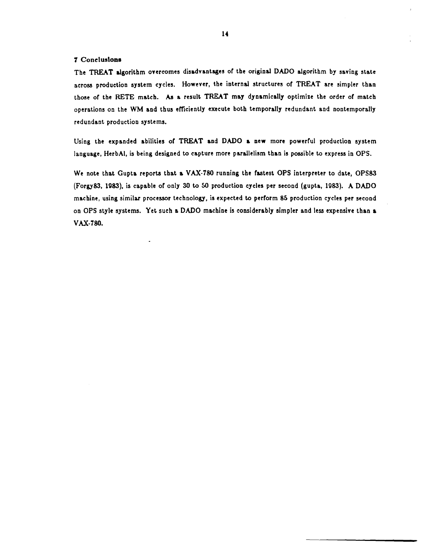### 7 Conclusions

The TREAT algorithm overcomes disadvantages of the original DADO algorithm by saving state across production system cycles. However, the internal structures of TREAT are simpler than those of the RETE match. As a result TREAT may dynamically optimize the order of match operations on the WM and thus efficiently execute both temporally redundant and nontemporally redundant production systems.

Using the expanded abilities of TREAT and DADO a new more powerful production system language, HerbAl, is being designed to capture more parallelism than is possible to express in OPS.

We note that Gupta reports that a VAX-780 running the fastest OPS interpreter to date, OPS83 (Forgy 83 , 1983), is capable or only 30 to 50 production cycles per second (gupta, 1983). A DADO machine, using similar processor technology, is expected to perform 85 production cycles per second on OPS style systems. Yet such a DADO machine is considerably simpler and less expensive than a VAX·780.